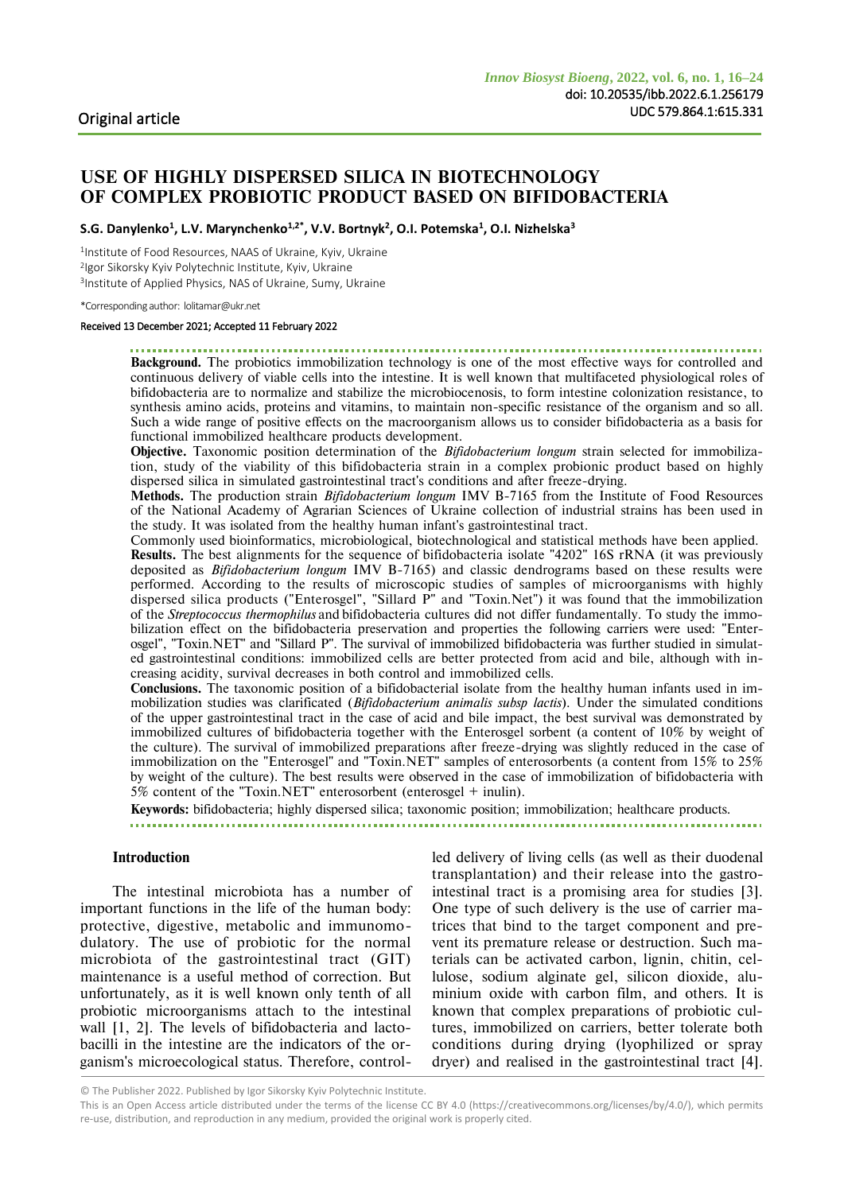# **USE OF HIGHLY DISPERSED SILICA IN BIOTECHNOLOGY OF COMPLEX PROBIOTIC PRODUCT BASED ON BIFIDOBACTERIA**

**S.G. Danylenko<sup>1</sup> , L.V. Marynchenko1,2\* , V.V. Bortnyk<sup>2</sup> , O.I. Potemska<sup>1</sup> , О.І. Nizhelska<sup>3</sup>**

1 Institute of Food Resources, NAAS of Ukraine, Kyiv, Ukraine 2 Igor Sikorsky Kyiv Polytechnic Institute, Kyiv, Ukraine 3 Institute of Applied Physics, NAS of Ukraine, Sumy, Ukraine

\*Corresponding author: lolitamar@ukr.net

#### Received 13 December 2021; Accepted 11 February 2022

**Background.** The probiotics immobilization technology is one of the most effective ways for controlled and continuous delivery of viable cells into the intestine. It is well known that multifaceted physiological roles of bifidobacteria are to normalize and stabilize the microbiocenosis, to form intestine colonization resistance, to synthesis amino acids, proteins and vitamins, to maintain non-specific resistance of the organism and so all. Such a wide range of positive effects on the macroorganism allows us to consider bifidobacteria as a basis for functional immobilized healthcare products development.

**Objective.** Taxonomic position determination of the *Bifidobacterium longum* strain selected for immobilization, study of the viability of this bifidobacteria strain in a complex probionic product based on highly dispersed silica in simulated gastrointestinal tract's conditions and after freeze-drying.

**Methods.** The production strain *Bifidobacterium longum* IMV B-7165 from the Institute of Food Resources of the National Academy of Agrarian Sciences of Ukraine collection of industrial strains has been used in the study. It was isolated from the healthy human infant's gastrointestinal tract.

Commonly used bioinformatics, microbiological, biotechnological and statistical methods have been applied. **Results.** The best alignments for the sequence of bifidobacteria isolate "4202" 16S rRNA (it was previously deposited as *Bifidobacterium longum* IMV B-7165) and classic dendrograms based on these results were performed. According to the results of microscopic studies of samples of microorganisms with highly dispersed silica products ("Enterosgel", "Sillard P" and "Toxin.Net") it was found that the immobilization of the *Streptococcus thermophilus* and bifidobacteria cultures did not differ fundamentally. To study the immobilization effect on the bifidobacteria preservation and properties the following carriers were used: "Enterosgel", "Toxin.NET" and "Sillard P". The survival of immobilized bifidobacteria was further studied in simulated gastrointestinal conditions: immobilized cells are better protected from acid and bile, although with increasing acidity, survival decreases in both control and immobilized cells.

**Conclusions.** The taxonomic position of a bifidobacterial isolate from the healthy human infants used in immobilization studies was clarificated (*Bifidobacterium animalis subsp lactis*). Under the simulated conditions of the upper gastrointestinal tract in the case of acid and bile impact, the best survival was demonstrated by immobilized cultures of bifidobacteria together with the Enterosgel sorbent (a content of 10% by weight of the culture). The survival of immobilized preparations after freeze-drying was slightly reduced in the case of immobilization on the "Enterosgel" and "Toxin.NET" samples of enterosorbents (a content from 15% to 25% by weight of the culture). The best results were observed in the case of immobilization of bifidobacteria with 5% content of the "Toxin.NET" enterosorbent (enterosgel + inulin).

**Keywords:** bifidobacteria; highly dispersed silica; taxonomic position; immobilization; healthcare products.

#### **Introduction**

The intestinal microbiota has a number of important functions in the life of the human body: protective, digestive, metabolic and immunomodulatory. The use of probiotic for the normal microbiota of the gastrointestinal tract (GIT) maintenance is a useful method of correction. But unfortunately, as it is well known only tenth of all probiotic microorganisms attach to the intestinal wall [1, 2]. The levels of bifidobacteria and lactobacilli in the intestine are the indicators of the organism's microecological status. Therefore, controlled delivery of living cells (as well as their duodenal transplantation) and their release into the gastrointestinal tract is a promising area for studies [3]. One type of such delivery is the use of carrier matrices that bind to the target component and prevent its premature release or destruction. Such materials can be activated carbon, lignin, chitin, cellulose, sodium alginate gel, silicon dioxide, aluminium oxide with carbon film, and others. It is known that complex preparations of probiotic cultures, immobilized on carriers, better tolerate both conditions during drying (lyophilized or spray dryer) and realised in the gastrointestinal tract [4].

<sup>©</sup> The Publisher 2022. Published by Igor Sikorsky Kyiv Polytechnic Institute.

This is an Open Access article distributed under the terms of the license CC BY 4.0 (https://creativecommons.org/licenses/by/4.0/), which permits re-use, distribution, and reproduction in any medium, provided the original work is properly cited.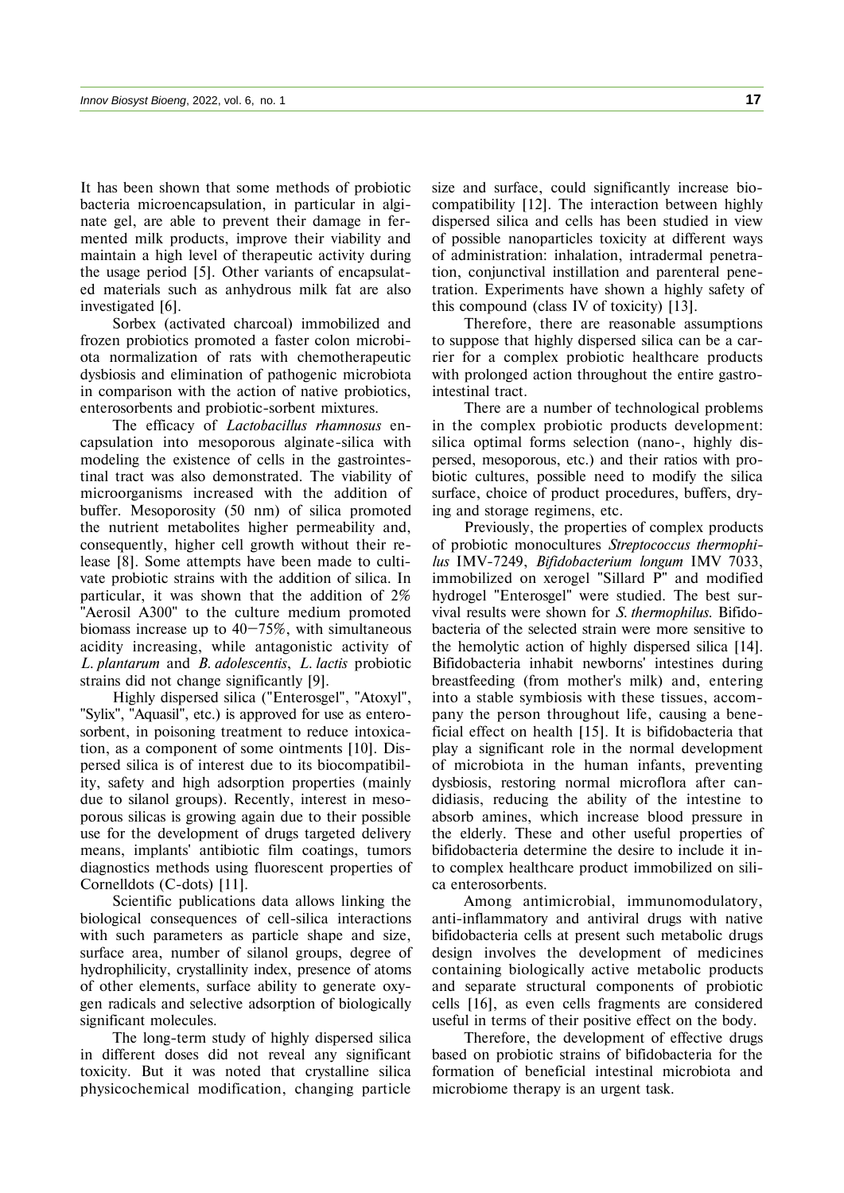It has been shown that some methods of probiotic bacteria microencapsulation, in particular in alginate gel, are able to prevent their damage in fermented milk products, improve their viability and maintain a high level of therapeutic activity during the usage period [5]. Other variants of encapsulated materials such as anhydrous milk fat are also investigated [6].

Sorbex (activated charcoal) immobilized and frozen probiotics promoted a faster colon microbiota normalization of rats with chemotherapeutic dysbiosis and elimination of pathogenic microbiota in comparison with the action of native probiotics, enterosorbents and probiotic-sorbent mixtures.

The efficacy of *Lactobacillus rhamnosus* encapsulation into mesoporous alginate-silica with modeling the existence of cells in the gastrointestinal tract was also demonstrated. The viability of microorganisms increased with the addition of buffer. Mesoporosity (50 nm) of silica promoted the nutrient metabolites higher permeability and, consequently, higher cell growth without their release [8]. Some attempts have been made to cultivate probiotic strains with the addition of silica. In particular, it was shown that the addition of 2% "Aerosil A300" to the culture medium promoted biomass increase up to  $40-75\%$ , with simultaneous acidity increasing, while antagonistic activity of *L. plantarum* and *B. adolescentis*, *L. lactis* probiotic strains did not change significantly [9].

Highly dispersed silica ("Enterosgel", "Atoxyl", "Sylix", "Aquasil", etc.) is approved for use as enterosorbent, in poisoning treatment to reduce intoxication, as a component of some ointments [10]. Dispersed silica is of interest due to its biocompatibility, safety and high adsorption properties (mainly due to silanol groups). Recently, interest in mesoporous silicas is growing again due to their possible use for the development of drugs targeted delivery means, implants' antibiotic film coatings, tumors diagnostics methods using fluorescent properties of Cornelldots (C-dots) [11].

Scientific publications data allows linking the biological consequences of cell-silica interactions with such parameters as particle shape and size, surface area, number of silanol groups, degree of hydrophilicity, crystallinity index, presence of atoms of other elements, surface ability to generate oxygen radicals and selective adsorption of biologically significant molecules.

The long-term study of highly dispersed silica in different doses did not reveal any significant toxicity. But it was noted that crystalline silica physicochemical modification, changing particle

size and surface, could significantly increase biocompatibility [12]. The interaction between highly dispersed silica and cells has been studied in view of possible nanoparticles toxicity at different ways of administration: inhalation, intradermal penetration, conjunctival instillation and parenteral penetration. Experiments have shown a highly safety of this compound (class IV of toxicity) [13].

Therefore, there are reasonable assumptions to suppose that highly dispersed silica can be a carrier for a complex probiotic healthcare products with prolonged action throughout the entire gastrointestinal tract.

There are a number of technological problems in the complex probiotic products development: silica optimal forms selection (nano-, highly dispersed, mesoporous, etc.) and their ratios with probiotic cultures, possible need to modify the silica surface, choice of product procedures, buffers, drying and storage regimens, etc.

Previously, the properties of complex products of probiotic monocultures *Streptococcus thermophilus* IMV-7249, *Bifidobacterium longum* IMV 7033, immobilized on xerogel "Sillard P" and modified hydrogel "Enterosgel" were studied. The best survival results were shown for *S. thermophilus*. Bifidobacteria of the selected strain were more sensitive to the hemolytic action of highly dispersed silica [14]. Bifidobacteria inhabit newborns' intestines during breastfeeding (from mother's milk) and, entering into a stable symbiosis with these tissues, accompany the person throughout life, causing a beneficial effect on health [15]. It is bifidobacteria that play a significant role in the normal development of microbiota in the human infants, preventing dysbiosis, restoring normal microflora after candidiasis, reducing the ability of the intestine to absorb amines, which increase blood pressure in the elderly. These and other useful properties of bifidobacteria determine the desire to include it into complex healthcare product immobilized on silica enterosorbents.

Among antimicrobial, immunomodulatory, anti-inflammatory and antiviral drugs with native bifidobacteria cells at present such metabolic drugs design involves the development of medicines containing biologically active metabolic products and separate structural components of probiotic cells [16], as even cells fragments are considered useful in terms of their positive effect on the body.

Therefore, the development of effective drugs based on probiotic strains of bifidobacteria for the formation of beneficial intestinal microbiota and microbiome therapy is an urgent task.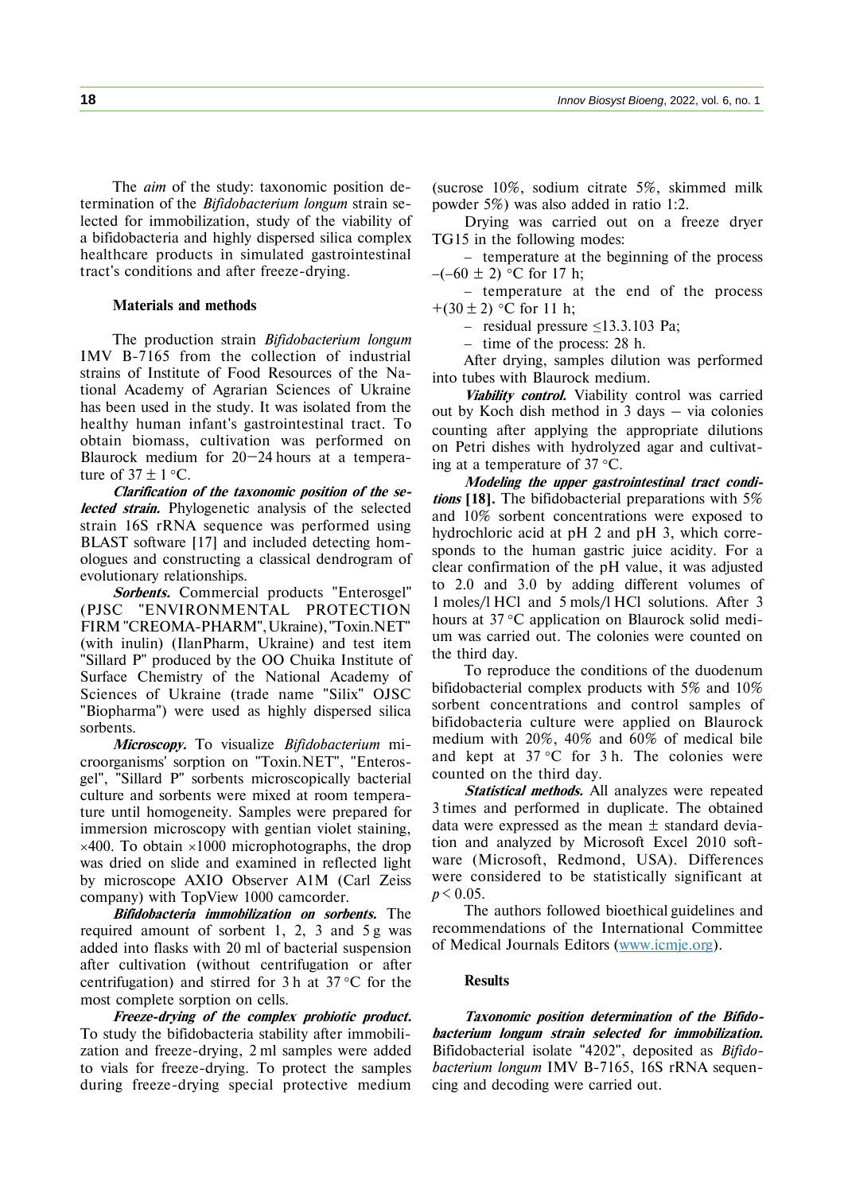The *aim* of the study: taxonomic position determination of the *Bifidobacterium longum* strain selected for immobilization, study of the viability of a bifidobacteria and highly dispersed silica complex healthcare products in simulated gastrointestinal tract's conditions and after freeze-drying.

## **Materials and methods**

The production strain *Bifidobacterium longum* IMV B-7165 from the collection of industrial strains of Institute of Food Resources of the National Academy of Agrarian Sciences of Ukraine has been used in the study. It was isolated from the healthy human infant's gastrointestinal tract. To obtain biomass, cultivation was performed on Blaurock medium for 20–24 hours at a temperature of  $37 \pm 1$  °C.

**Clarification of the taxonomic position of the selected strain.** Phylogenetic analysis of the selected strain 16S rRNA sequence was performed using BLAST software [17] and included detecting homologues and constructing a classical dendrogram of evolutionary relationships.

**Sorbents.** Commercial products "Enterosgel" (PJSC "ENVIRONMENTAL PROTECTION FIRM "CREOMA-PHARM",Ukraine),"Toxin.NET" (with inulin) (IlanPharm, Ukraine) and test item "Sillard P" produced by the OO Chuika Institute of Surface Chemistry of the National Academy of Sciences of Ukraine (trade name "Silix" OJSC "Biopharma") were used as highly dispersed silica sorbents.

**Microscopy.** To visualize *Bifidobacterium* microorganisms' sorption on "Toxin.NET", "Enterosgel", "Sillard P" sorbents microscopically bacterial culture and sorbents were mixed at room temperature until homogeneity. Samples were prepared for immersion microscopy with gentian violet staining,  $\times$ 400. To obtain  $\times$ 1000 microphotographs, the drop was dried on slide and examined in reflected light by microscope AXIO Observer A1M (Carl Zeiss company) with TopView 1000 camcorder.

**Bifidobacteria immobilization on sorbents.** The required amount of sorbent 1, 2, 3 and 5 g was added into flasks with 20 ml of bacterial suspension after cultivation (without centrifugation or after centrifugation) and stirred for 3 h at  $37^{\circ}$ C for the most complete sorption on cells.

**Freeze-drying of the complex probiotic product.** To study the bifidobacteria stability after immobilization and freeze-drying, 2 ml samples were added to vials for freeze-drying. To protect the samples during freeze-drying special protective medium

(sucrose 10%, sodium citrate 5%, skimmed milk powder 5%) was also added in ratio 1:2.

Drying was carried out on a freeze dryer TG15 in the following modes:

− temperature at the beginning of the process  $-(-60 \pm 2)$  °C for 17 h;

− temperature at the end of the process +(30  $\pm$  2) °C for 11 h;

− residual pressure ≤13.3.103 Pa;

− time of the process: 28 h.

After drying, samples dilution was performed into tubes with Blaurock medium.

**Viability control.** Viability control was carried out by Koch dish method in 3 days – via colonies counting after applying the appropriate dilutions on Petri dishes with hydrolyzed agar and cultivating at a temperature of  $37 \text{ °C}$ .

**Modeling the upper gastrointestinal tract conditions [18].** The bifidobacterial preparations with 5% and 10% sorbent concentrations were exposed to hydrochloric acid at pH 2 and pH 3, which corresponds to the human gastric juice acidity. For a clear confirmation of the pH value, it was adjusted to 2.0 and 3.0 by adding different volumes of 1 moles/l HCl and 5 mols/l HCl solutions. After 3 hours at  $37 \text{°C}$  application on Blaurock solid medium was carried out. The colonies were counted on the third day.

To reproduce the conditions of the duodenum bifidobacterial complex products with 5% and 10% sorbent concentrations and control samples of bifidobacteria culture were applied on Blauroсk medium with 20%, 40% and 60% of medical bile and kept at  $37^{\circ}$ C for 3 h. The colonies were counted on the third day.

**Statistical methods.** All analyzes were repeated 3 times and performed in duplicate. The obtained data were expressed as the mean  $\pm$  standard deviation and analyzed by Microsoft Excel 2010 software (Microsoft, Redmond, USA). Differences were considered to be statistically significant at  $p < 0.05$ .

The authors followed bioethical guidelines and recommendations of the International Committee of Medical Journals Editors [\(www.icmje.org\)](http://www.icmje.org/).

## **Results**

**Taxonomic position determination of the Bifidobacterium longum strain selected for immobilization.** Bifidobacterial isolate "4202", deposited as *Bifidobacterium longum* IMV B-7165, 16S rRNA sequencing and decoding were carried out.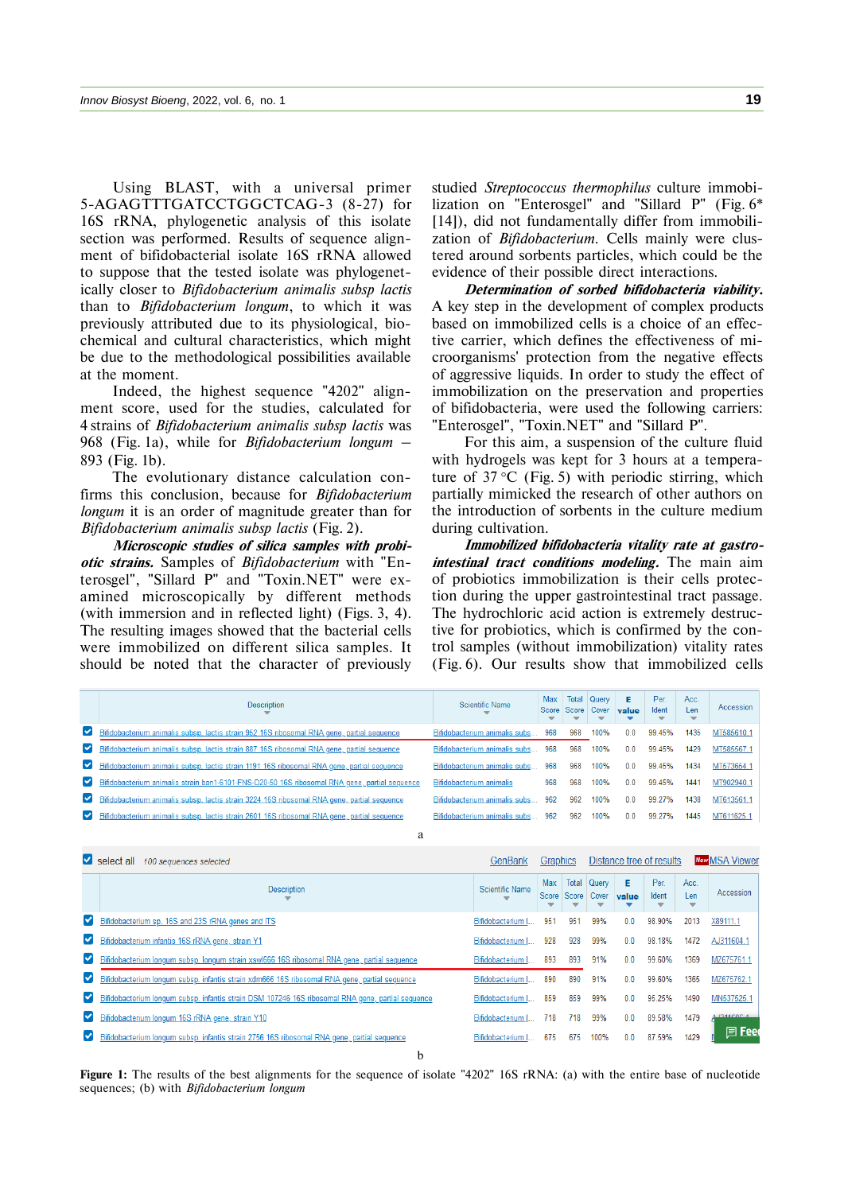Using BLAST, with a universal primer 5-AGAGTTTGATCCTGGCTCAG-3 (8-27) for 16S rRNA, phylogenetic analysis of this isolate section was performed. Results of sequence alignment of bifidobacterial isolate 16S rRNA allowed to suppose that the tested isolate was phylogenetically closer to *Bifidobacterium animalis subsp lactis* than to *Bifidobacterium longum*, to which it was previously attributed due to its physiological, biochemical and cultural characteristics, which might be due to the methodological possibilities available at the moment.

Indeed, the highest sequence "4202" alignment score, used for the studies, calculated for 4 strains of *Bifidobacterium animalis subsp lactis* was 968 (Fig. 1a), while for *Bifidobacterium longum* – 893 (Fig. 1b).

The evolutionary distance calculation confirms this conclusion, because for *Bifidobacterium longum* it is an order of magnitude greater than for *Bifidobacterium animalis subsp lactis* (Fig. 2).

**Microscopic studies of silica samples with probiotic strains.** Samples of *Bifidobacterium* with "Enterosgel", "Sillard P" and "Toxin.NET" were examined microscopically by different methods (with immersion and in reflected light) (Figs. 3, 4). The resulting images showed that the bacterial cells were immobilized on different silica samples. It should be noted that the character of previously studied *Streptococcus thermophilus* culture immobilization on "Enterosgel" and "Sillard P" (Fig. 6\* [14]), did not fundamentally differ from immobilization of *Bifidobacterium.* Cells mainly were clustered around sorbents particles, which could be the evidence of their possible direct interactions.

**Determination of sorbed bifidobacteria viability.** A key step in the development of complex products based on immobilized cells is a choice of an effective carrier, which defines the effectiveness of microorganisms' protection from the negative effects of aggressive liquids. In order to study the effect of immobilization on the preservation and properties of bifidobacteria, were used the following carriers: "Enterosgel", "Toxin.NET" and "Sillard P".

For this aim, a suspension of the culture fluid with hydrogels was kept for 3 hours at a temperature of  $37 \text{ °C}$  (Fig. 5) with periodic stirring, which partially mimicked the research of other authors on the introduction of sorbents in the culture medium during cultivation.

**Immobilized bifidobacteria vitality rate at gastrointestinal tract conditions modeling.** The main aim of probiotics immobilization is their cells protection during the upper gastrointestinal tract passage. The hydrochloric acid action is extremely destructive for probiotics, which is confirmed by the control samples (without immobilization) vitality rates (Fig. 6). Our results show that immobilized cells

|                      | <b>Description</b>                                                                            | Scientific Name                   |     | Max   Total   Query<br>Score Score Cover<br>$\overline{\phantom{a}}$ | ▼    | Е<br>value | Per.<br>Ident<br>▼ | Acc.<br>Len<br>▼ | Accession  |
|----------------------|-----------------------------------------------------------------------------------------------|-----------------------------------|-----|----------------------------------------------------------------------|------|------------|--------------------|------------------|------------|
| $\blacktriangledown$ | Bifidobacterium animalis subsp. lactis strain 952 16S ribosomal RNA gene, partial sequence    | Bifidobacterium animalis subs     | 968 | 968                                                                  | 100% | 0.0        | 99.45%             | 1435             | MT585610.1 |
| $\blacktriangledown$ | Bifidobacterium animalis subsp. lactis strain 887 16S ribosomal RNA gene, partial sequence    | Bifidobacterium animalis subs 968 |     | 968                                                                  | 100% | 0.0        | 99.45%             | 1429             | MT585567.  |
|                      | Bifidobacterium animalis subsp. lactis strain 1191 16S ribosomal RNA gene, partial sequence   | Bifidobacterium animalis subs     | 968 | 968                                                                  | 100% | 0.0        | 99.45%             | 1434             | MT573654.1 |
|                      | Sifidobacterium animalis strain ban1-6101-FNS-D20-50 16S ribosomal RNA gene, partial sequence | Bifidobacterium animalis          | 968 | 968                                                                  | 100% | 0.0        | 99.45%             | 1441             | MT902940.1 |
| $\blacktriangledown$ | Bifidobacterium animalis subsp. lactis strain 3224 16S ribosomal RNA gene, partial sequence   | Bifidobacterium animalis subs     | 962 | 962                                                                  | 100% | 0.0        | 99.27%             | 1438             | MT613561.1 |
| $\checkmark$         | Bifidobacterium animalis subsp. lactis strain 2601 16S ribosomal RNA gene, partial sequence   | Bifidobacterium animalis subs     | 962 | 962                                                                  | 100% | 0.0        | 99.27%             | 1445             | MT611625.1 |
|                      |                                                                                               |                                   |     |                                                                      |      |            |                    |                  |            |

| Select all 100 sequences selected |                                                                                                   | GenBank           | Graphics     |                |                | Distance tree of results |                    | <b>New MSA Viewer</b> |             |
|-----------------------------------|---------------------------------------------------------------------------------------------------|-------------------|--------------|----------------|----------------|--------------------------|--------------------|-----------------------|-------------|
|                                   | <b>Description</b>                                                                                | Scientific Name   | Max<br>Score | Total<br>Score | Query<br>Cover | E<br>value               | Per.<br>Ident<br>▼ | Acc.<br>Len<br>▼      | Accession   |
| $\checkmark$                      | Bifidobacterium sp. 16S and 23S rRNA genes and ITS                                                | Bifidobacterium I | 951          | 951            | 99%            | 0.0                      | 98.90%             | 2013                  | X89111.1    |
| $\blacktriangledown$              | Bifidobacterium infantis 16S rRNA gene, strain Y1                                                 | Bifidobacterium I | 928          | 928            | 99%            | 0.0                      | 98.18%             | 1472                  | AJ311604.   |
| $\blacktriangledown$              | Bifidobacterium longum subsp. longum strain xswl666 16S ribosomal RNA gene, partial sequence      | Bifidobacterium I | 893          | 893            | 91%            | 0 <sub>0</sub>           | 99.60%             | 1369                  | MZ675761.   |
| $\checkmark$                      | Bifidobacterium longum subsp. infantis strain xdm666 16S ribosomal RNA gene, partial sequence     | Bifidobacterium I | 890          | 890            | 91%            | 0 <sub>0</sub>           | 99.60%             | 1365                  | MZ675762.   |
| $\checkmark$                      | Bifidobacterium longum subsp. infantis strain DSM 107246 16S ribosomal RNA gene, partial sequence | Bifidobacterium I | 859          | 859            | 99%            | 0.0                      | 95.25%             | 1490                  | MN537525.   |
| $\checkmark$                      | Bifidobacterium longum 16S rRNA gene, strain Y10                                                  | Bifidobacterium I | 718          | 718            | 99%            | 0.0                      | 89.58%             | 1479                  | LIQ44COC 4  |
| $\checkmark$                      | Bifidobacterium longum subsp. infantis strain 2756 16S ribosomal RNA gene, partial sequence       | Bifidobacterium I | 675          | 675            | 100%           | 0.0                      | 87.59%             | 1429                  | $\Box$ Feed |

b **Figure 1:** The results of the best alignments for the sequence of isolate "4202" 16S rRNA: (a) with the entire base of nucleotide sequences; (b) with *Bifidobacterium longum*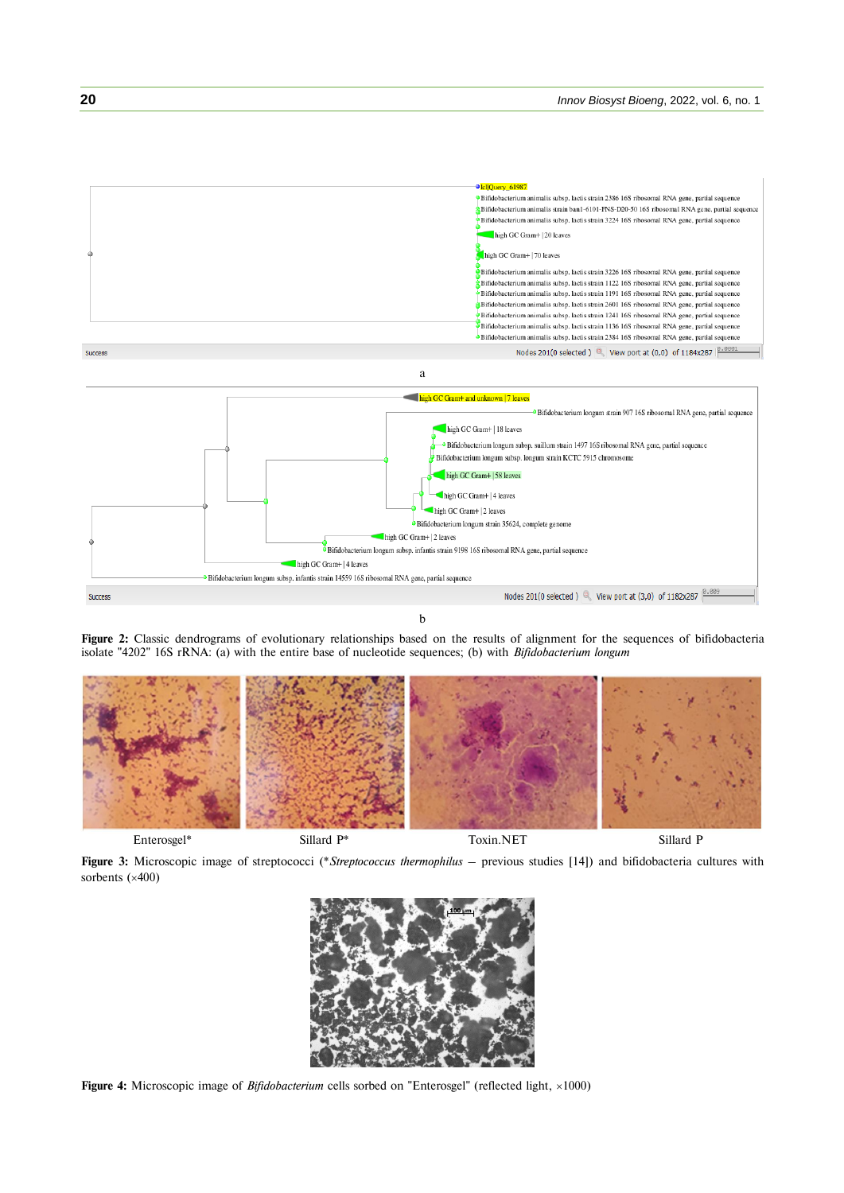

b

**Figure 2:** Classic dendrograms of evolutionary relationships based on the results of alignment for the sequences of bifidobacteria isolate "4202" 16S rRNA: (a) with the entire base of nucleotide sequences; (b) with *Bifidobacterium longum*



Enterosgel\* Sillard P\* Toxin.NET Sillard P

**Figure 3:** Microscopic image of streptococci (\**Streptococcus thermophilus* – previous studies [14]) and bifidobacteria cultures with sorbents  $(x400)$ 



Figure 4: Microscopic image of *Bifidobacterium* cells sorbed on "Enterosgel" (reflected light, ×1000)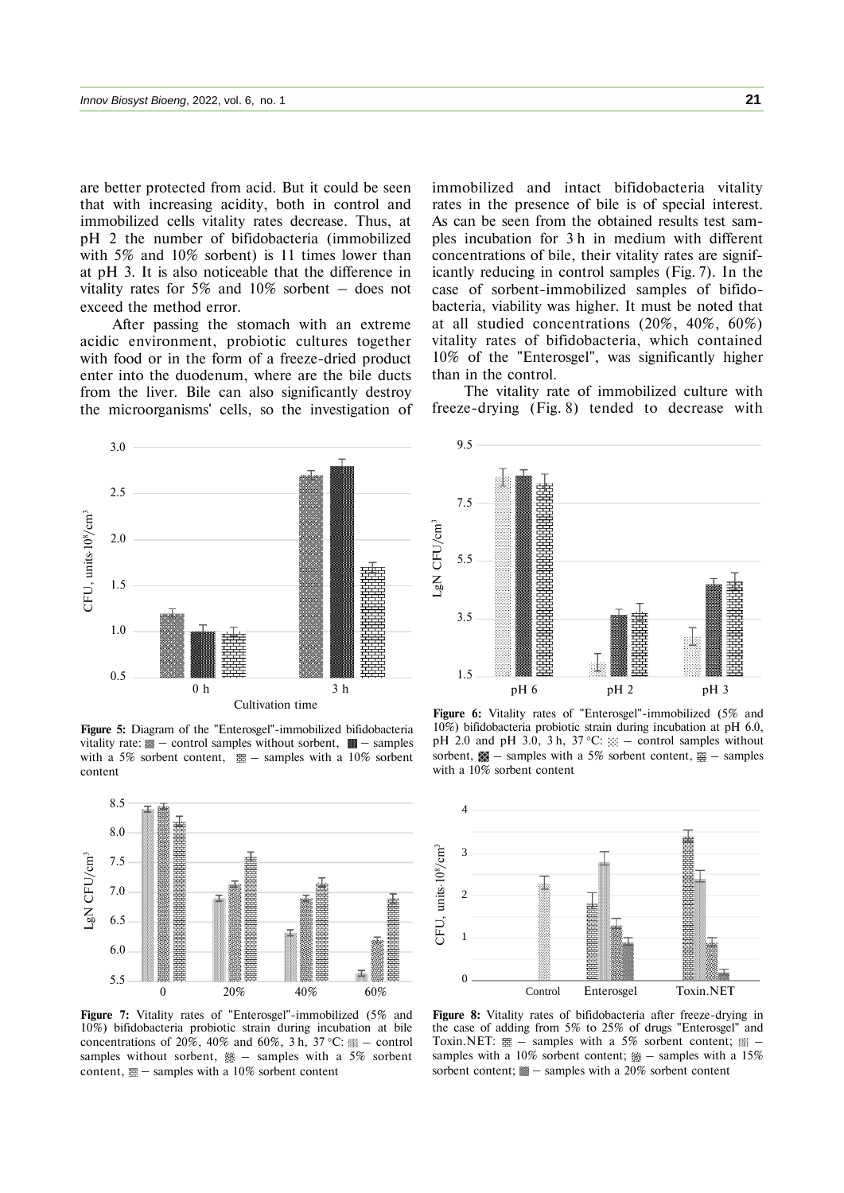are better protected from acid. But it could be seen that with increasing acidity, both in control and immobilized cells vitality rates decrease. Thus, at pH 2 the number of bifidobacteria (immobilized with 5% and 10% sorbent) is 11 times lower than at pH 3. It is also noticeable that the difference in vitality rates for 5% and 10% sorbent  $-$  does not exceed the method error.

After passing the stomach with an extreme acidic environment, probiotic cultures together with food or in the form of a freeze-dried product enter into the duodenum, where are the bile ducts from the liver. Bile can also significantly destroy the microorganisms' cells, so the investigation of immobilized and intact bifidobacteria vitality rates in the presence of bile is of special interest. As can be seen from the obtained results test samples incubation for 3 h in medium with different concentrations of bile, their vitality rates are significantly reducing in control samples (Fig. 7). In the case of sorbent-immobilized samples of bifidobacteria, viability was higher. It must be noted that at all studied concentrations (20%, 40%, 60%) vitality rates of bifidobacteria, which contained 10% of the "Enterosgel", was significantly higher than in the control.

The vitality rate of immobilized culture with freeze-drying (Fig. 8) tended to decrease with

9.5



**Figure 5:** Diagram of the "Enterosgel"-immobilized bifidobacteria vitality rate:  $\blacksquare$  – control samples without sorbent,  $\blacksquare$  – samples with a 5% sorbent content,  $\mathbb{E}$  – samples with a 10% sorbent content



**Figure 7:** Vitality rates of "Enterosgel"-immobilized (5% and 10%) bifidobacteria probiotic strain during incubation at bile concentrations of 20%, 40% and 60%, 3 h, 37 °C:  $\text{N}$  – control samples without sorbent,  $\frac{360}{100}$  – samples with a 5% sorbent content,  $\mathbb{E}$  – samples with a 10% sorbent content

1.5 3.5 5.5 7.5 pH 6 pH 2 pH 3

**Figure 6:** Vitality rates of "Enterosgel"-immobilized (5% and 10%) bifidobacteria probiotic strain during incubation at pH 6.0, pH 2.0 and pH 3.0, 3 h, 37 °C:  $\mathbb{R}$  – control samples without sorbent,  $\mathbf{M} = \text{samples with a } 5\%$  sorbent content,  $\mathbf{M} = \text{samples}$ with a 10% sorbent content



**Figure 8:** Vitality rates of bifidobacteria after freeze-drying in the case of adding from 5% to 25% of drugs "Enterosgel" and Toxin.NET:  $\equiv -$  samples with a 5% sorbent content;  $\equiv$ samples with a 10% sorbent content;  $\frac{360}{100}$  – samples with a 15%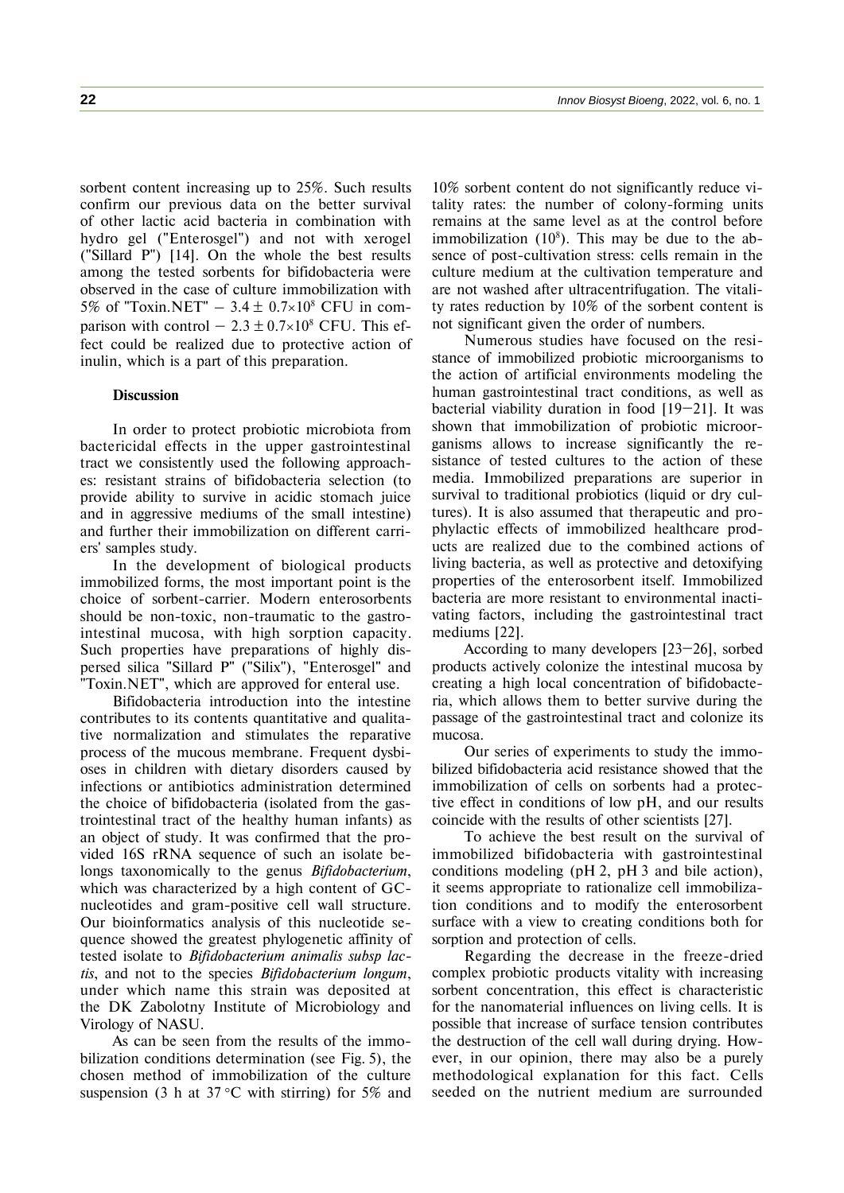sorbent content increasing up to 25%. Such results confirm our previous data on the better survival of other lactic acid bacteria in combination with hydro gel ("Enterosgel") and not with xerogel ("Sillard P") [14]. On the whole the best results among the tested sorbents for bifidobacteria were observed in the case of culture immobilization with 5% of "Toxin.NET" – 3.4  $\pm$  0.7×10<sup>8</sup> CFU in comparison with control –  $2.3 \pm 0.7 \times 10^8$  CFU. This effect could be realized due to protective action of inulin, which is a part of this preparation.

# **Discussion**

In order to protect probiotic microbiota from bactericidal effects in the upper gastrointestinal tract we consistently used the following approaches: resistant strains of bifidobacteria selection (to provide ability to survive in acidic stomach juice and in aggressive mediums of the small intestine) and further their immobilization on different carriers' samples study.

In the development of biological products immobilized forms, the most important point is the choice of sorbent-carrier. Modern enterosorbents should be non-toxic, non-traumatic to the gastrointestinal mucosa, with high sorption capacity. Such properties have preparations of highly dispersed silica "Sillard P" ("Silix"), "Enterosgel" and "Toxin.NET", which are approved for enteral use.

Bifidobacteria introduction into the intestine contributes to its contents quantitative and qualitative normalization and stimulates the reparative process of the mucous membrane. Frequent dysbioses in children with dietary disorders caused by infections or antibiotics administration determined the choice of bifidobacteria (isolated from the gastrointestinal tract of the healthy human infants) as an object of study. It was confirmed that the provided 16S rRNA sequence of such an isolate belongs taxonomically to the genus *Bifidobacterium*, which was characterized by a high content of GCnucleotides and gram-positive cell wall structure. Our bioinformatics analysis of this nucleotide sequence showed the greatest phylogenetic affinity of tested isolate to *Bifidobacterium animalis subsp lactis*, and not to the species *Bifidobacterium longum*, under which name this strain was deposited at the DK Zabolotny Institute of Microbiology and Virology of NASU.

As can be seen from the results of the immobilization conditions determination (see Fig. 5), the chosen method of immobilization of the culture suspension (3 h at  $37^{\circ}$ C with stirring) for  $5\%$  and

10% sorbent content do not significantly reduce vitality rates: the number of colony-forming units remains at the same level as at the control before immobilization  $(10<sup>8</sup>)$ . This may be due to the absence of post-cultivation stress: cells remain in the culture medium at the cultivation temperature and are not washed after ultracentrifugation. The vitality rates reduction by 10% of the sorbent content is not significant given the order of numbers.

Numerous studies have focused on the resistance of immobilized probiotic microorganisms to the action of artificial environments modeling the human gastrointestinal tract conditions, as well as bacterial viability duration in food [19–21]. It was shown that immobilization of probiotic microorganisms allows to increase significantly the resistance of tested cultures to the action of these media. Immobilized preparations are superior in survival to traditional probiotics (liquid or dry cultures). It is also assumed that therapeutic and prophylactic effects of immobilized healthcare products are realized due to the combined actions of living bacteria, as well as protective and detoxifying properties of the enterosorbent itself. Immobilized bacteria are more resistant to environmental inactivating factors, including the gastrointestinal tract mediums [22].

According to many developers [23–26], sorbed products actively colonize the intestinal mucosa by creating a high local concentration of bifidobacteria, which allows them to better survive during the passage of the gastrointestinal tract and colonize its mucosa.

Our series of experiments to study the immobilized bifidobacteria acid resistance showed that the immobilization of cells on sorbents had a protective effect in conditions of low pH, and our results coincide with the results of other scientists [27].

To achieve the best result on the survival of immobilized bifidobacteria with gastrointestinal conditions modeling (pH 2, pH 3 and bile action), it seems appropriate to rationalize cell immobilization conditions and to modify the enterosorbent surface with a view to creating conditions both for sorption and protection of cells.

Regarding the decrease in the freeze-dried complex probiotic products vitality with increasing sorbent concentration, this effect is characteristic for the nanomaterial influences on living cells. It is possible that increase of surface tension contributes the destruction of the cell wall during drying. However, in our opinion, there may also be a purely methodological explanation for this fact. Cells seeded on the nutrient medium are surrounded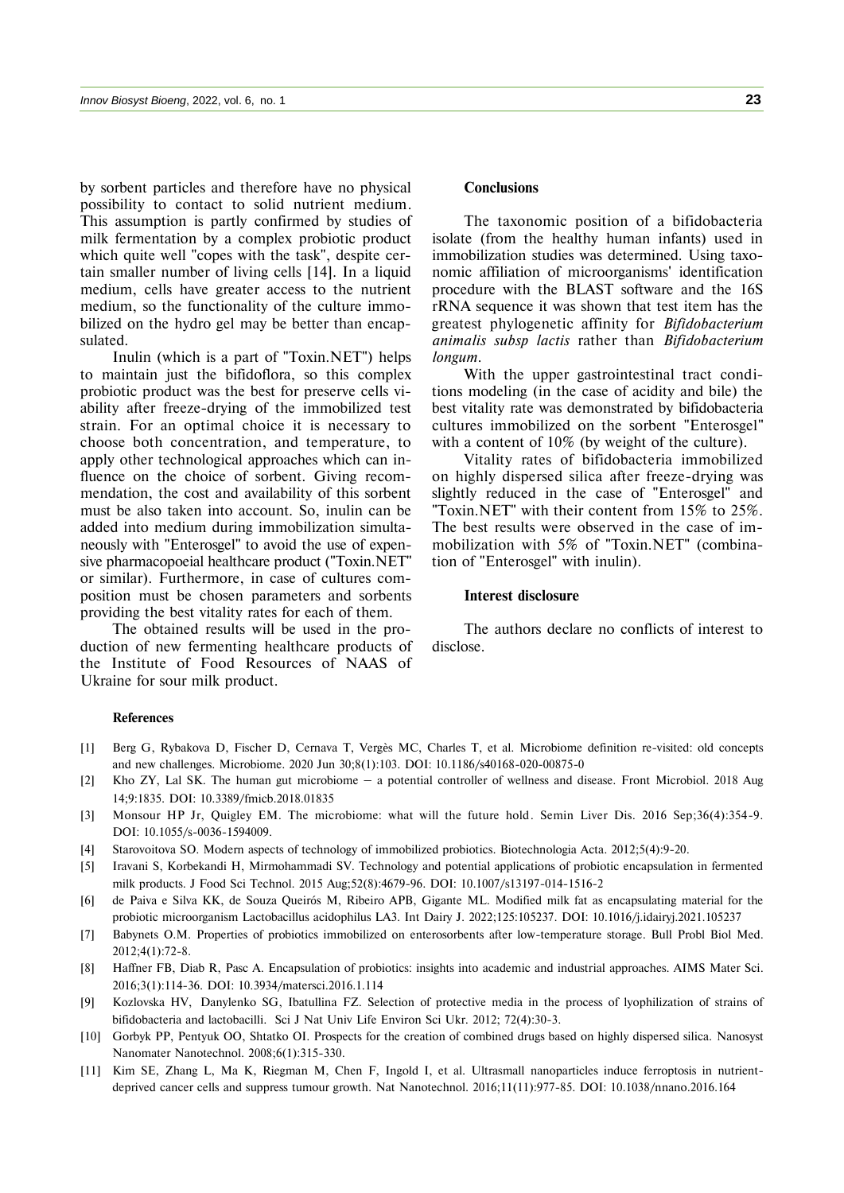by sorbent particles and therefore have no physical possibility to contact to solid nutrient medium. This assumption is partly confirmed by studies of milk fermentation by a complex probiotic product which quite well "copes with the task", despite certain smaller number of living cells [14]. In a liquid medium, cells have greater access to the nutrient medium, so the functionality of the culture immobilized on the hydro gel may be better than encapsulated.

Inulin (which is a part of "Toxin.NET") helps to maintain just the bifidoflora, so this complex probiotic product was the best for preserve cells viability after freeze-drying of the immobilized test strain. For an optimal choice it is necessary to choose both concentration, and temperature, to apply other technological approaches which can influence on the choice of sorbent. Giving recommendation, the cost and availability of this sorbent must be also taken into account. So, inulin can be added into medium during immobilization simultaneously with "Enterosgel" to avoid the use of expensive pharmacopoeial healthcare product ("Toxin.NET" or similar). Furthermore, in case of cultures composition must be chosen parameters and sorbents providing the best vitality rates for each of them.

The obtained results will be used in the production of new fermenting healthcare products of the Institute of Food Resources of NAAS of Ukraine for sour milk product.

# **Conclusions**

The taxonomic position of a bifidobacteria isolate (from the healthy human infants) used in immobilization studies was determined. Using taxonomic affiliation of microorganisms' identification procedure with the BLAST software and the 16S rRNA sequence it was shown that test item has the greatest phylogenetic affinity for *Bifidobacterium animalis subsp lactis* rather than *Bifidobacterium longum*.

With the upper gastrointestinal tract conditions modeling (in the case of acidity and bile) the best vitality rate was demonstrated by bifidobacteria cultures immobilized on the sorbent "Enterosgel" with a content of 10% (by weight of the culture).

Vitality rates of bifidobacteria immobilized on highly dispersed silica after freeze-drying was slightly reduced in the case of "Enterosgel" and "Toxin.NET" with their content from 15% to 25%. The best results were observed in the case of immobilization with 5% of "Toxin.NET" (combination of "Enterosgel" with inulin).

## **Interest disclosure**

The authors declare no conflicts of interest to disclose.

#### **References**

- [1] Berg G, Rybakova D, Fischer D, Cernava T, Vergès MC, Charles T, et al. Microbiome definition re-visited: old concepts and new challenges. Microbiome. 2020 Jun 30;8(1):103. DOI: 10.1186/s40168-020-00875-0
- [2] Kho ZY, Lal SK. The human gut microbiome a potential controller of wellness and disease. Front Microbiol. 2018 Aug 14;9:1835. DOI: 10.3389/fmicb.2018.01835
- [3] Monsour HP Jr, Quigley EM. The microbiome: what will the future hold. Semin Liver Dis. 2016 Sep;36(4):354-9. DOI: 10.1055/s-0036-1594009.
- [4] Starovoitova SO. Modern aspects of technology of immobilized probiotics. Biotechnologia Acta. 2012;5(4):9-20.
- [5] Iravani S, Korbekandi H, Mirmohammadi SV. Technology and potential applications of probiotic encapsulation in fermented milk products. J Food Sci Technol. 2015 Aug;52(8):4679-96. DOI: 10.1007/s13197-014-1516-2
- [6] de Paiva e Silva KK, de Souza Queirós M, Ribeiro APB, Gigante ML. Modified milk fat as encapsulating material for the probiotic microorganism Lactobacillus acidophilus LA3. Int Dairy J. 2022;125:105237. DOI: 10.1016/j.idairyj.2021.105237
- [7] Babynets O.M. Properties of probiotics immobilized on enterosorbents after low-temperature storage. Bull Probl Biol Med. 2012;4(1):72-8.
- [8] Haffner FB, Diab R, Pasc A. Encapsulation of probiotics: insights into academic and industrial approaches. AIMS Mater Sci. 2016;3(1):114-36. DOI: 10.3934/matersci.2016.1.114
- [9] Kozlovska HV, Danylenko SG, Ibatullina FZ. Selection of protective media in the process of lyophilization of strains of bifidobacteria and lactobacilli. Sci J Nat Univ Life Environ Sci Ukr. 2012; 72(4):30-3.
- [10] Gorbyk PP, Pentyuk OO, Shtatko OI. Prospects for the creation of combined drugs based on highly dispersed silica. Nanosyst Nanomater Nanotechnol. 2008;6(1):315-330.
- [11] Kim SE, Zhang L, Ma K, Riegman M, Chen F, Ingold I, et al. Ultrasmall nanoparticles induce ferroptosis in nutrientdeprived cancer cells and suppress tumour growth*.* Nat Nanotechnol. 2016;11(11):977-85. DOI: 10.1038/nnano.2016.164